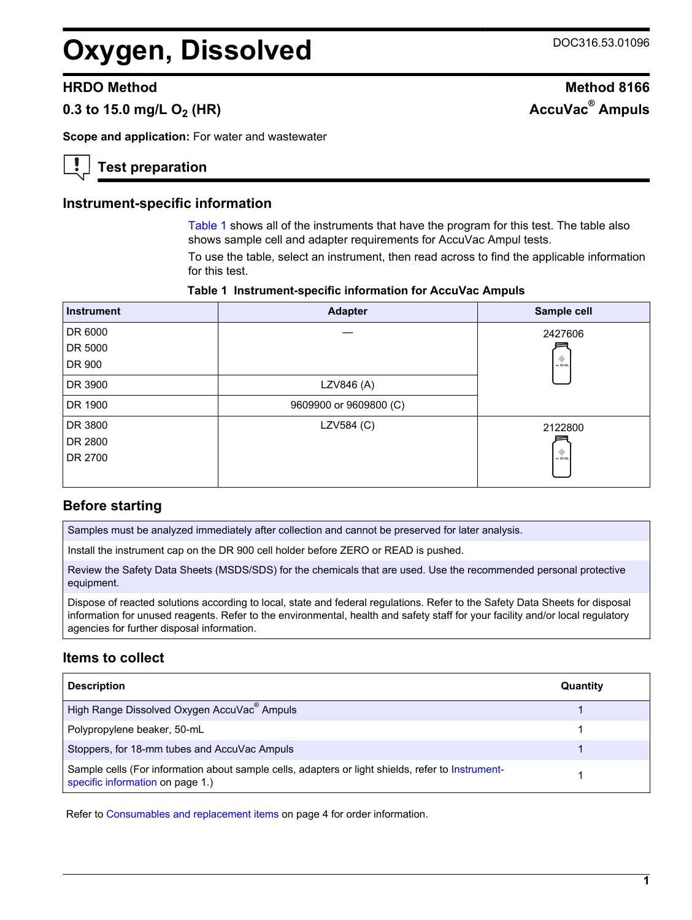# **Oxygen, Dissolved** DOC316.53.01096

# $0.3$  to 15.0 mg/L O<sub>2</sub> (HR)

**Scope and application:** For water and wastewater

# **Test preparation**

#### **Instrument-specific information**

[Table 1](#page-0-0) shows all of the instruments that have the program for this test. The table also shows sample cell and adapter requirements for AccuVac Ampul tests.

To use the table, select an instrument, then read across to find the applicable information for this test.

#### **Table 1 Instrument-specific information for AccuVac Ampuls**

<span id="page-0-1"></span><span id="page-0-0"></span>

| <b>Instrument</b> | <b>Adapter</b>         | Sample cell           |
|-------------------|------------------------|-----------------------|
| DR 6000           |                        | 2427606               |
| DR 5000           |                        |                       |
| DR 900            |                        | $\frac{1}{2}$ = 10 mL |
| DR 3900           | LZV846 (A)             |                       |
| DR 1900           | 9609900 or 9609800 (C) |                       |
| DR 3800           | LZV584 (C)             | 2122800               |
| DR 2800           |                        |                       |
| DR 2700           |                        | $\frac{1}{2}$ = 10 mL |
|                   |                        |                       |

## **Before starting**

Samples must be analyzed immediately after collection and cannot be preserved for later analysis.

Install the instrument cap on the DR 900 cell holder before ZERO or READ is pushed.

Review the Safety Data Sheets (MSDS/SDS) for the chemicals that are used. Use the recommended personal protective equipment.

Dispose of reacted solutions according to local, state and federal regulations. Refer to the Safety Data Sheets for disposal information for unused reagents. Refer to the environmental, health and safety staff for your facility and/or local regulatory agencies for further disposal information.

## **Items to collect**

| <b>Description</b>                                                                                                                    | Quantity |
|---------------------------------------------------------------------------------------------------------------------------------------|----------|
| High Range Dissolved Oxygen AccuVac <sup>®</sup> Ampuls                                                                               |          |
| Polypropylene beaker, 50-mL                                                                                                           |          |
| Stoppers, for 18-mm tubes and AccuVac Ampuls                                                                                          |          |
| Sample cells (For information about sample cells, adapters or light shields, refer to Instrument-<br>specific information on page 1.) |          |

Refer to [Consumables and replacement items](#page-3-0) on page 4 for order information.

**1**

# **HRDO Method Method 8166 AccuVac<sup>®</sup> Ampuls**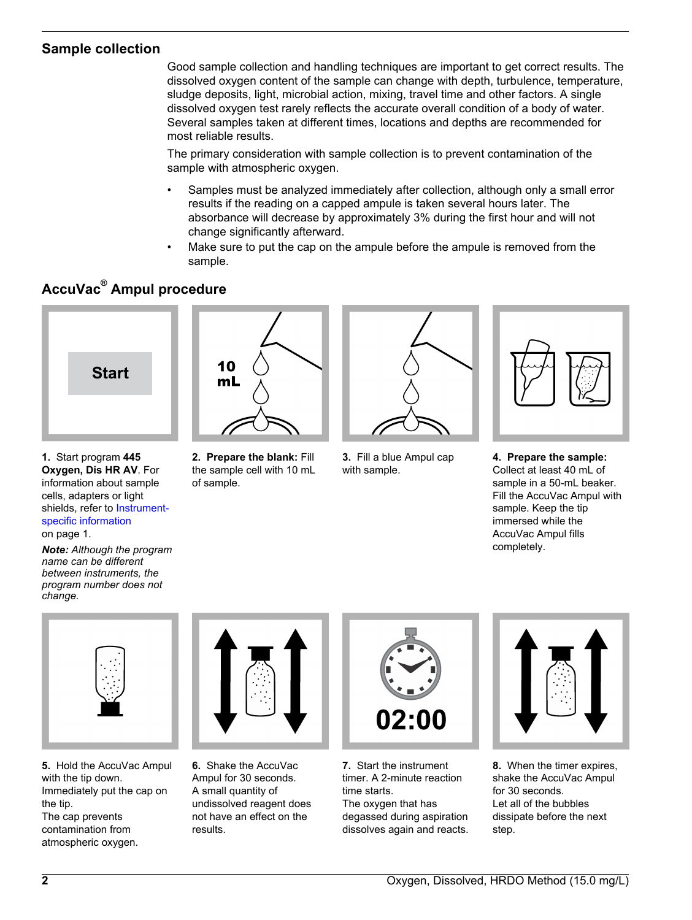# **Sample collection**

Good sample collection and handling techniques are important to get correct results. The dissolved oxygen content of the sample can change with depth, turbulence, temperature, sludge deposits, light, microbial action, mixing, travel time and other factors. A single dissolved oxygen test rarely reflects the accurate overall condition of a body of water. Several samples taken at different times, locations and depths are recommended for most reliable results.

The primary consideration with sample collection is to prevent contamination of the sample with atmospheric oxygen.

- Samples must be analyzed immediately after collection, although only a small error results if the reading on a capped ampule is taken several hours later. The absorbance will decrease by approximately 3% during the first hour and will not change significantly afterward.
- Make sure to put the cap on the ampule before the ampule is removed from the sample.

# **AccuVac® Ampul procedure**



**1.** Start program **445 Oxygen, Dis HR AV**. For information about sample cells, adapters or light shields, refer to [Instrument](#page-0-1)[specific information](#page-0-1) on page 1.

*Note: Although the program name can be different between instruments, the program number does not change.*



**2. Prepare the blank:** Fill the sample cell with 10 mL of sample.



**3.** Fill a blue Ampul cap with sample.



**4. Prepare the sample:** Collect at least 40 mL of sample in a 50-mL beaker. Fill the AccuVac Ampul with sample. Keep the tip immersed while the AccuVac Ampul fills completely.



**5.** Hold the AccuVac Ampul with the tip down. Immediately put the cap on the tip. The cap prevents contamination from atmospheric oxygen.



**6.** Shake the AccuVac Ampul for 30 seconds. A small quantity of undissolved reagent does not have an effect on the results.



**7.** Start the instrument timer. A 2-minute reaction time starts. The oxygen that has degassed during aspiration dissolves again and reacts.



**8.** When the timer expires, shake the AccuVac Ampul for 30 seconds. Let all of the bubbles dissipate before the next step.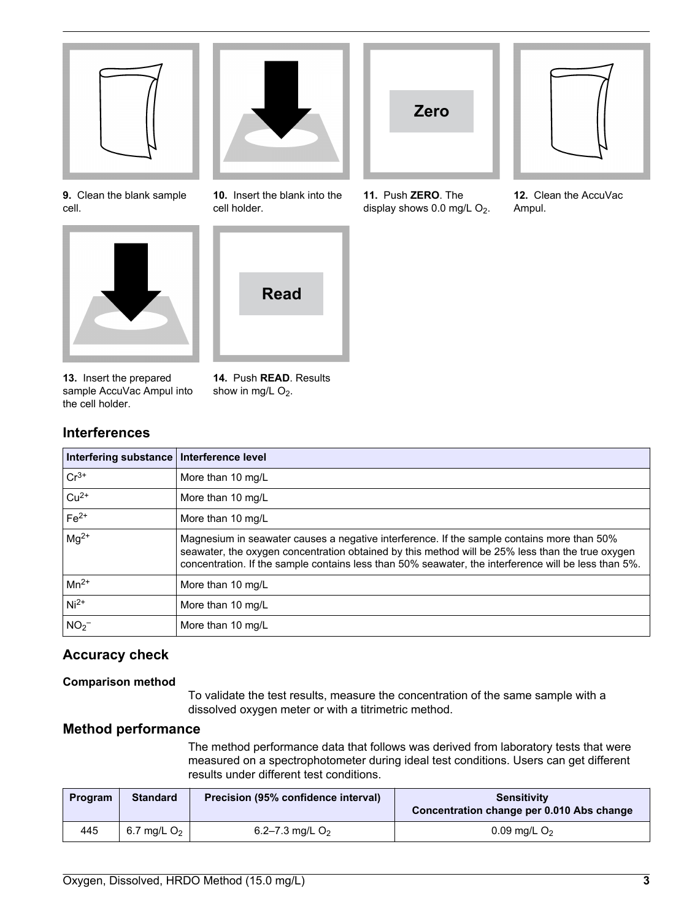

**9.** Clean the blank sample cell.



**13.** Insert the prepared sample AccuVac Ampul into the cell holder.

**14.** Push **READ**. Results show in mg/L  $O_2$ .

**10.** Insert the blank into the

**Read**

cell holder.

# **Interferences**

| Interfering substance   Interference level |                                                                                                                                                                                                                                                                                                        |
|--------------------------------------------|--------------------------------------------------------------------------------------------------------------------------------------------------------------------------------------------------------------------------------------------------------------------------------------------------------|
| $Cr^{3+}$                                  | More than 10 mg/L                                                                                                                                                                                                                                                                                      |
| $ Cu^{2+}$                                 | More than 10 mg/L                                                                                                                                                                                                                                                                                      |
| $Fe2+$                                     | More than 10 mg/L                                                                                                                                                                                                                                                                                      |
| $mg^{2+}$                                  | Magnesium in seawater causes a negative interference. If the sample contains more than 50%<br>seawater, the oxygen concentration obtained by this method will be 25% less than the true oxygen<br>concentration. If the sample contains less than 50% seawater, the interference will be less than 5%. |
| $\vert$ Mn <sup>2+</sup>                   | More than 10 mg/L                                                                                                                                                                                                                                                                                      |
| $Ni2+$                                     | More than 10 mg/L                                                                                                                                                                                                                                                                                      |
| NO <sub>2</sub>                            | More than 10 mg/L                                                                                                                                                                                                                                                                                      |

# **Accuracy check**

## **Comparison method**

To validate the test results, measure the concentration of the same sample with a dissolved oxygen meter or with a titrimetric method.

## **Method performance**

The method performance data that follows was derived from laboratory tests that were measured on a spectrophotometer during ideal test conditions. Users can get different results under different test conditions.

| Program | <b>Standard</b> | Precision (95% confidence interval) | <b>Sensitivity</b><br>Concentration change per 0.010 Abs change |
|---------|-----------------|-------------------------------------|-----------------------------------------------------------------|
| 445     | 6.7 mg/L $O2$   | 6.2–7.3 mg/L $O2$                   | 0.09 mg/L $O2$                                                  |



**11.** Push **ZERO**. The display shows  $0.0$  mg/L  $O<sub>2</sub>$ .



**12.** Clean the AccuVac Ampul.